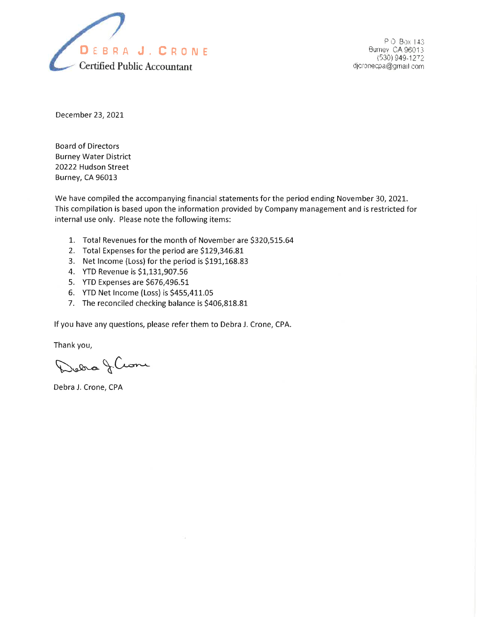

P O Box 143 Burney CA 96013 (530) 949-1272 djcronecpa@gmail.com

December 23, 2021

**Board of Directors Burney Water District** 20222 Hudson Street **Burney, CA 96013** 

We have compiled the accompanying financial statements for the period ending November 30, 2021. This compilation is based upon the information provided by Company management and is restricted for internal use only. Please note the following items:

- 1. Total Revenues for the month of November are \$320,515.64
- 2. Total Expenses for the period are \$129,346.81
- 3. Net Income (Loss) for the period is \$191,168.83
- 4. YTD Revenue is \$1,131,907.56
- 5. YTD Expenses are \$676,496.51
- 6. YTD Net Income (Loss) is \$455,411.05
- 7. The reconciled checking balance is \$406,818.81

If you have any questions, please refer them to Debra J. Crone, CPA.

Thank you,

Dedro J.Com

Debra J. Crone, CPA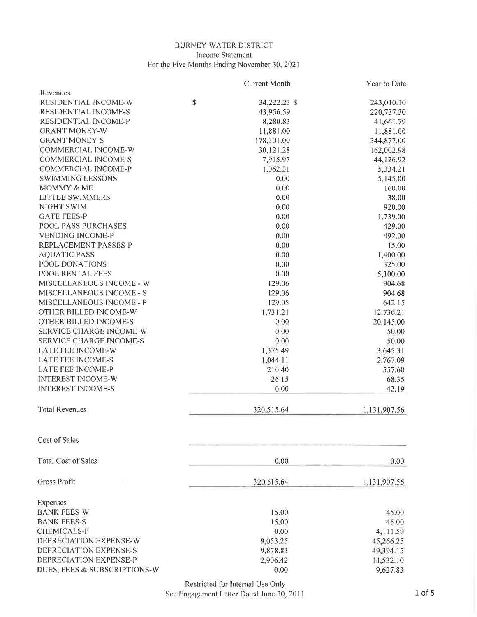#### BURNEY WATER DISTRICT Income Statement For the Five Months Ending November 30,2021

|                                 | <b>Current Month</b> | Year to Date |
|---------------------------------|----------------------|--------------|
| Revenues                        |                      |              |
| RESIDENTIAL INCOME-W            | \$<br>34,222.23 \$   | 243,010.10   |
| RESIDENTIAL INCOME-S            | 43,956.59            | 220,737.30   |
| RESIDENTIAL INCOME-P            | 8,280.83             | 41,661.79    |
| <b>GRANT MONEY-W</b>            | 11,881.00            | 11,881.00    |
| <b>GRANT MONEY-S</b>            | 178,301.00           | 344,877.00   |
| COMMERCIAL INCOME-W             | 30,121.28            | 162,002.98   |
| COMMERCIAL INCOME-S             | 7,915.97             | 44,126.92    |
| COMMERCIAL INCOME-P             | 1,062.21             | 5,334.21     |
| <b>SWIMMING LESSONS</b>         | 0.00                 | 5,145.00     |
| MOMMY & ME                      | 0.00                 | 160.00       |
| <b>LITTLE SWIMMERS</b>          | 0.00                 | 38.00        |
| NIGHT SWIM                      | 0.00                 | 920.00       |
| <b>GATE FEES-P</b>              | 0.00                 | 1,739.00     |
| POOL PASS PURCHASES             | 0.00                 | 429.00       |
| <b>VENDING INCOME-P</b>         | 0.00                 | 492.00       |
| REPLACEMENT PASSES-P            | 0.00                 | 15.00        |
| <b>AQUATIC PASS</b>             | 0.00                 | 1,400.00     |
| POOL DONATIONS                  | 0.00                 | 325.00       |
| POOL RENTAL FEES                | 0.00                 | 5,100.00     |
| MISCELLANEOUS INCOME - W        | 129.06               | 904.68       |
| MISCELLANEOUS INCOME - S        | 129.06               | 904.68       |
| <b>MISCELLANEOUS INCOME - P</b> | 129.05               | 642.15       |
| OTHER BILLED INCOME-W           | 1,731.21             | 12,736.21    |
| OTHER BILLED INCOME-S           | 0.00                 | 20,145.00    |
| SERVICE CHARGE INCOME-W         | 0.00                 | 50.00        |
| <b>SERVICE CHARGE INCOME-S</b>  | 0.00                 | 50.00        |
| LATE FEE INCOME-W               | 1,375.49             | 3,645.31     |
| LATE FEE INCOME-S               | 1,044.11             | 2,767.09     |
| LATE FEE INCOME-P               | 210.40               | 557.60       |
| <b>INTEREST INCOME-W</b>        | 26.15                | 68.35        |
| <b>INTEREST INCOME-S</b>        | 0.00                 | 42.19        |
|                                 |                      |              |
| <b>Total Revenues</b>           | 320,515.64           | 1,131,907.56 |
| Cost of Sales                   |                      |              |
| <b>Total Cost of Sales</b>      | 0.00                 | 0.00         |
| Gross Profit                    | 320,515.64           | 1,131,907.56 |
|                                 |                      |              |
| Expenses                        |                      |              |
| <b>BANK FEES-W</b>              | 15.00                | 45.00        |
| <b>BANK FEES-S</b>              | 15.00                | 45.00        |
| CHEMICALS-P                     | 0.00                 | 4,111.59     |
| DEPRECIATION EXPENSE-W          | 9,053.25             | 45,266.25    |
| DEPRECIATION EXPENSE-S          | 9,878.83             | 49,394.15    |
| DEPRECIATION EXPENSE-P          | 2,906.42             | 14,532.10    |
| DUES, FEES & SUBSCRIPTIONS-W    | 0.00                 | 9,627.83     |
|                                 |                      |              |

Restricted for Internal Use Only

See Engagement Letter Dated June 30,2011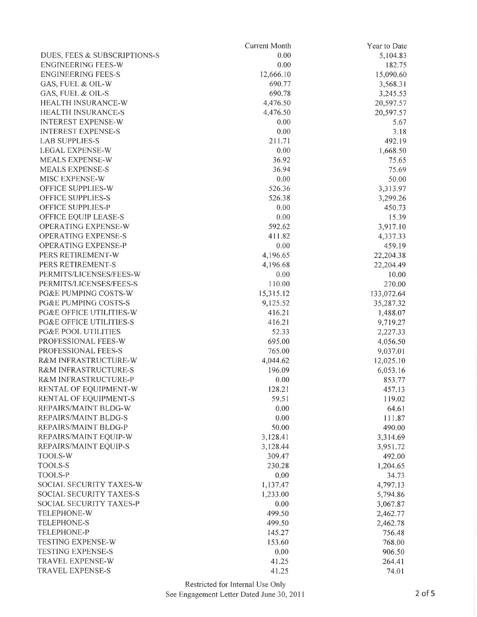|                                    | Current Month | Year to Date |
|------------------------------------|---------------|--------------|
| DUES, FEES & SUBSCRIPTIONS-S       | 0.00          | 5,104.83     |
| <b>ENGINEERING FEES-W</b>          | 0.00          | 182.75       |
| <b>ENGINEERING FEES-S</b>          | 12,666.10     | 15,090.60    |
| GAS, FUEL & OIL-W                  | 690.77        | 3,568.31     |
| GAS, FUEL & OIL-S                  | 690.78        | 3,245.53     |
| HEALTH INSURANCE-W                 | 4,476.50      | 20,597.57    |
| <b>HEALTH INSURANCE-S</b>          | 4,476.50      | 20,597.57    |
| <b>INTEREST EXPENSE-W</b>          | 0.00          | 5.67         |
| <b>INTEREST EXPENSE-S</b>          | 0.00          | 3.18         |
| <b>LAB SUPPLIES-S</b>              | 211.71        | 492.19       |
| <b>LEGAL EXPENSE-W</b>             | 0.00          | 1,668.50     |
| <b>MEALS EXPENSE-W</b>             | 36.92         | 75.65        |
| <b>MEALS EXPENSE-S</b>             | 36.94         | 75.69        |
| MISC EXPENSE-W                     | 0.00          | 50.00        |
| OFFICE SUPPLIES-W                  | 526.36        | 3,313.97     |
| OFFICE SUPPLIES-S                  | 526.38        | 3,299.26     |
| <b>OFFICE SUPPLIES-P</b>           | 0.00          | 450.73       |
| OFFICE EQUIP LEASE-S               | 0.00          | 15.39        |
| OPERATING EXPENSE-W                | 592.62        | 3,917.10     |
| <b>OPERATING EXPENSE-S</b>         | 411.82        | 4,337.33     |
| <b>OPERATING EXPENSE-P</b>         | 0.00          | 459.19       |
| PERS RETIREMENT-W                  | 4,196.65      | 22,204.38    |
| PERS RETIREMENT-S                  | 4,196.68      | 22,204.49    |
| PERMITS/LICENSES/FEES-W            | 0.00          | 10.00        |
| PERMITS/LICENSES/FEES-S            | 110.00        | 270.00       |
| PG&E PUMPING COSTS-W               | 15,315.12     | 133,072.64   |
| PG&E PUMPING COSTS-S               | 9,125.52      | 35,287.32    |
| PG&E OFFICE UTILITIES-W            | 416.21        | 1,488.07     |
| <b>PG&amp;E OFFICE UTILITIES-S</b> | 416.21        | 9,719.27     |
| <b>PG&amp;E POOL UTILITIES</b>     | 52.33         | 2,227.33     |
| PROFESSIONAL FEES-W                | 695.00        | 4,056.50     |
| PROFESSIONAL FEES-S                | 765.00        | 9,037.01     |
| R&M INFRASTRUCTURE-W               | 4,044.62      | 12,025.10    |
| R&M INFRASTRUCTURE-S               | 196.09        | 6,053.16     |
| R&M INFRASTRUCTURE-P               | 0.00          | 853.77       |
| RENTAL OF EQUIPMENT-W              | 128.21        | 457.13       |
| RENTAL OF EQUIPMENT-S              | 59.51         | 119.02       |
| REPAIRS/MAINT BLDG-W               | 0.00          | 64.61        |
| REPAIRS/MAINT BLDG-S               | 0.00          | 111.87       |
| REPAIRS/MAINT BLDG-P               | 50.00         | 490.00       |
| REPAIRS/MAINT EQUIP-W              | 3,128.41      | 3,314.69     |
| REPAIRS/MAINT EQUIP-S              | 3,128.44      | 3,951.72     |
| TOOLS-W                            | 309.47        | 492.00       |
| TOOLS-S                            | 230.28        | 1,204.65     |
| TOOLS-P                            | 0.00          | 34.73        |
| SOCIAL SECURITY TAXES-W            | 1,137.47      | 4,797.13     |
| SOCIAL SECURITY TAXES-S            | 1,233.00      | 5,794.86     |
| SOCIAL SECURITY TAXES-P            | 0.00          | 3,067.87     |
| TELEPHONE-W                        | 499.50        | 2,462.77     |
| TELEPHONE-S                        | 499.50        | 2,462.78     |
| TELEPHONE-P                        | 145.27        | 756.48       |
| TESTING EXPENSE-W                  | 153.60        | 768.00       |
| TESTING EXPENSE-S                  | 0.00          | 906.50       |
| TRAVEL EXPENSE-W                   | 41.25         | 264.41       |
| TRAVEL EXPENSE-S                   | 41.25         | 74.01        |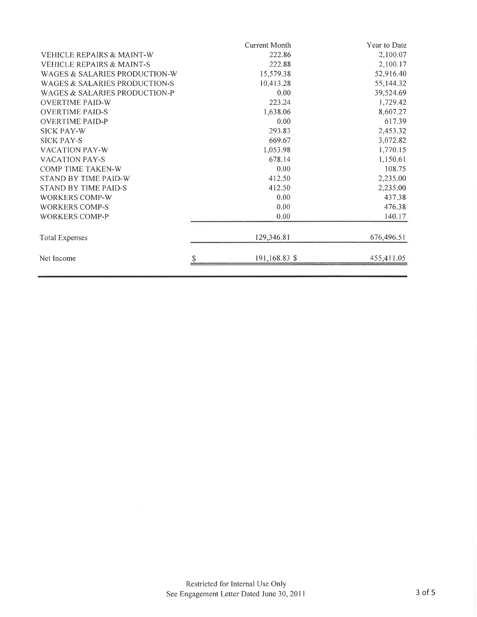|                                      | Current Month | Year to Date |
|--------------------------------------|---------------|--------------|
| <b>VEHICLE REPAIRS &amp; MAINT-W</b> | 222.86        | 2,100.07     |
| <b>VEHICLE REPAIRS &amp; MAINT-S</b> | 222.88        | 2,100.17     |
| WAGES & SALARIES PRODUCTION-W        | 15,579.38     | 52,916.40    |
| WAGES & SALARIES PRODUCTION-S        | 10,413.28     | 55,144.32    |
| WAGES & SALARIES PRODUCTION-P        | 0.00          | 39,524.69    |
| <b>OVERTIME PAID-W</b>               | 223.24        | 1,729.42     |
| <b>OVERTIME PAID-S</b>               | 1,638.06      | 8,607.27     |
| <b>OVERTIME PAID-P</b>               | 0.00          | 617.39       |
| <b>SICK PAY-W</b>                    | 293.83        | 2,453.32     |
| <b>SICK PAY-S</b>                    | 669.67        | 3,072.82     |
| <b>VACATION PAY-W</b>                | 1,053.98      | 1,770.15     |
| <b>VACATION PAY-S</b>                | 678.14        | 1,150.61     |
| COMP TIME TAKEN-W                    | 0.00          | 108.75       |
| STAND BY TIME PAID-W                 | 412.50        | 2,235.00     |
| <b>STAND BY TIME PAID-S</b>          | 412.50        | 2,235.00     |
| WORKERS COMP-W                       | 0.00          | 437.38       |
| <b>WORKERS COMP-S</b>                | 0.00          | 476.38       |
| <b>WORKERS COMP-P</b>                | 0.00          | 140.17       |
| <b>Total Expenses</b>                | 129,346.81    | 676,496.51   |
| Net Income                           | 191,168.83 \$ | 455,411.05   |
|                                      |               |              |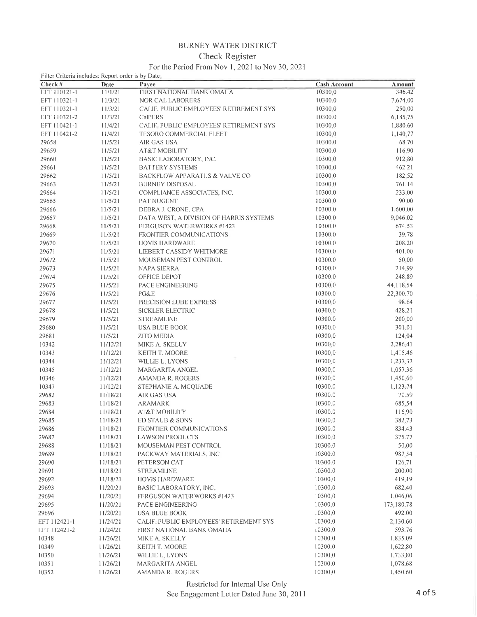# BURNEY WATER DISTRICT

### **Check Register**

## For the Period From Nov 1, 2021 to Nov 30, 2021

| $1.01$ GIG 1 GHOU 1 10111 1303 14202 1303 1303 204 202 1<br>Filter Criteria includes: Report order is by Date. |          |                                          |                     |            |
|----------------------------------------------------------------------------------------------------------------|----------|------------------------------------------|---------------------|------------|
| Check #                                                                                                        | Date     | Payee                                    | <b>Cash Account</b> | Amount     |
| EFT 110121-1                                                                                                   | 11/1/21  | FIRST NATIONAL BANK OMAHA                | 10300,0             | 346.42     |
| EFT 110321-1                                                                                                   | 11/3/21  | NOR CAL LABORERS                         | 10300.0             | 7,674.00   |
| EFT 110321-1                                                                                                   | 11/3/21  | CALIF. PUBLIC EMPLOYEES' RETIREMENT SYS  | 10300.0             | 250.00     |
| EFT 110321-2                                                                                                   | 11/3/21  | CalPERS                                  | 10300.0             | 6,185,75   |
| EFT 110421-1                                                                                                   | 11/4/21  | CALIE, PUBLIC EMPLOYEES' RETIREMENT SYS  | 10300,0             | 1,880.60   |
| EFT 110421-2                                                                                                   | 11/4/21  | TESORO COMMERCIAL FLEET                  | 10300.0             | 1,140,77   |
| 29658                                                                                                          | 11/5/21  | AIR GAS USA                              | 10300.0             | 68.70      |
| 29659                                                                                                          | 11/5/21  | AT&T MOBILITY                            | 10300.0             | 116.90     |
| 29660                                                                                                          | 11/5/21  | BASIC LABORATORY, INC.                   | 10300.0             | 912.80     |
| 29661                                                                                                          | 11/5/21  | <b>BATTERY SYSTEMS</b>                   | 10300.0             | 462.21     |
| 29662                                                                                                          | 11/5/21  | <b>BACKFLOW APPARATUS &amp; VALVE CO</b> | 10300.0             | 182.52     |
| 29663                                                                                                          | 11/5/21  | <b>BURNEY DISPOSAL</b>                   | 10300.0             | 761.14     |
| 29664                                                                                                          | 11/5/21  | COMPLIANCE ASSOCIATES, INC.              | 10300.0             | 233.00     |
| 29665                                                                                                          | 11/5/21  | PAT NUGENT                               | 10300.0             | 90.00      |
| 29666                                                                                                          | 11/5/21  | DEBRA J. CRONE, CPA                      | 10300.0             | 1,600,00   |
| 29667                                                                                                          | 11/5/21  | DATA WEST, A DIVISION OF HARRIS SYSTEMS  | 10300.0             | 9,046.02   |
| 29668                                                                                                          | 11/5/21  | <b>FERGUSON WATERWORKS #1423</b>         | 10300.0             | 674.53     |
| 29669                                                                                                          | 11/5/21  | FRONTIER COMMUNICATIONS                  | 10300.0             | 39.78      |
| 29670                                                                                                          | 11/5/21  | <b>HOVIS HARDWARE</b>                    | 10300.0             | 208.20     |
| 29671                                                                                                          | 11/5/21  | LIEBERT CASSIDY WHITMORE                 | 10300.0             | 401.00     |
| 29672                                                                                                          | 11/5/21  | MOUSEMAN PEST CONTROL                    | 10300.0             | 50,00      |
|                                                                                                                |          |                                          |                     | 214.99     |
| 29673                                                                                                          | 11/5/21  | NAPA SIERRA                              | 10300.0             |            |
| 29674                                                                                                          | 11/5/21  | OFFICE DEPOT                             | 10300.0             | 248.89     |
| 29675                                                                                                          | 11/5/21  | PACE ENGINEERING                         | 10300.0             | 44,118.54  |
| 29676                                                                                                          | 11/5/21  | PG&E                                     | 10300.0             | 22,300.70  |
| 29677                                                                                                          | 11/5/21  | PRECISION LUBE EXPRESS                   | 10300.0             | 98.64      |
| 29678                                                                                                          | 11/5/21  | <b>SICKLER ELECTRIC</b>                  | 10300.0             | 428.21     |
| 29679                                                                                                          | 11/5/21  | <b>STREAMLINE</b>                        | 10300.0             | 200.00     |
| 29680                                                                                                          | 11/5/21  | USA BLUE BOOK                            | 10300.0             | 301:01     |
| 29681                                                                                                          | 11/5/21  | ZITO MEDIA                               | 10300.0             | 124:04     |
| 10342                                                                                                          | 11/12/21 | MIKE A. SKELLY                           | 10300.0             | 2,286,41   |
| 10343                                                                                                          | 11/12/21 | KEITH T. MOORE                           | 10300.0             | 1,415.46   |
| 10344                                                                                                          | 11/12/21 | WILLIE L. LYONS                          | 10300.0             | 1,237.32   |
| 10345                                                                                                          | 11/12/21 | MARGARITA ANGEL                          | 10300.0             | 1,057.36   |
| 10346                                                                                                          | 11/12/21 | <b>AMANDA R. ROGERS</b>                  | 10300.0             | 1,450.60   |
| 10347                                                                                                          | 11/12/21 | STEPHANIE A. MCQUADE                     | 10300.0             | 1,123,74   |
| 29682                                                                                                          | 11/18/21 | AIR GAS USA                              | 10300.0             | 70.59      |
| 29683                                                                                                          | 11/18/21 | ARAMARK                                  | 10300.0             | 685.54     |
| 29684                                                                                                          | 11/18/21 | AT&T MOBILITY                            | 10300.0             | 116,90     |
| 29685                                                                                                          | 11/18/21 | ED STAUB & SONS                          | 10300.0             | 382.73     |
| 29686                                                                                                          | 11/18/21 | FRONTIER COMMUNICATIONS                  | 10300.0             | 834.43     |
| 29687                                                                                                          | 11/18/21 | <b>LAWSON PRODUCTS</b>                   | 10300,0             | 375.77     |
| 29688                                                                                                          | 11/18/21 | MOUSEMAN PEST CONTROL                    | 10300.0             | 50,00      |
| 29689                                                                                                          | 11/18/21 | PACKWAY MATERIALS, INC                   | 10300.0             | 987.54     |
| 29690                                                                                                          | 11/18/21 | PETERSON CAT                             | 10300.0             | 126.71     |
| 29691                                                                                                          | 11/18/21 | <b>STREAMLINE</b>                        | 10300.0             | 200.00     |
| 29692                                                                                                          | 11/18/21 | <b>HOVIS HARDWARE</b>                    | 10300.0             | 419.19     |
| 29693                                                                                                          | 11/20/21 | BASIC LABORATORY, INC.                   | 10300.0             | 682.40     |
| 29694                                                                                                          | 11/20/21 | <b>FERGUSON WATERWORKS #1423</b>         | 10300.0             | 1,046.06   |
| 29695                                                                                                          | 11/20/21 | PACE ENGINEERING                         | 10300.0             | 173,180,78 |
| 29696                                                                                                          | 11/20/21 | USA BLUE BOOK                            | 10300.0             | 492.00     |
| EFT 112421-1                                                                                                   | 11/24/21 | CALIF, PUBLIC EMPLOYEES' RETIREMENT SYS  | 10300.0             | 2,130.60   |
| EFT 112421-2                                                                                                   | 11/24/21 | FIRST NATIONAL BANK OMAHA                | 10300.0             | 593.76     |
| 10348                                                                                                          | 11/26/21 | MIKE A. SKELLY                           | 10300.0             | 1,835.09   |
| 10349                                                                                                          | 11/26/21 | KEITH T. MOORE                           | 10300.0             | 1,622.80   |
| 10350                                                                                                          | 11/26/21 | WILLIE L. LYONS                          | 10300.0             | 1,733.80   |
| 10351                                                                                                          | 11/26/21 | MARGARITA ANGEL                          | 10300.0             | 1,078.68   |
|                                                                                                                |          | AMANDA R. ROGERS                         | 10300.0             | 1,450.60   |
| 10352                                                                                                          | 11/26/21 |                                          |                     |            |

#### Restricted for Internal Use Only